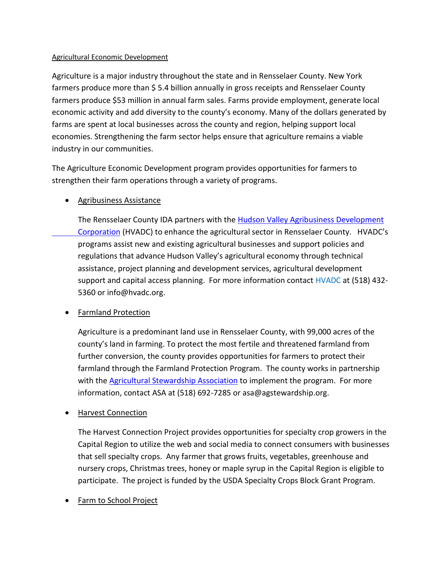## Agricultural Economic Development

Agriculture is a major industry throughout the state and in Rensselaer County. New York farmers produce more than \$ 5.4 billion annually in gross receipts and Rensselaer County farmers produce \$53 million in annual farm sales. Farms provide employment, generate local economic activity and add diversity to the county's economy. Many of the dollars generated by farms are spent at local businesses across the county and region, helping support local economies. Strengthening the farm sector helps ensure that agriculture remains a viable industry in our communities.

The Agriculture Economic Development program provides opportunities for farmers to strengthen their farm operations through a variety of programs.

## • Agribusiness Assistance

The Rensselaer County IDA partners with the Hudson Valley Agribusiness Development [Corporation](http://www.hvadc.org/) (HVADC) to enhance the agricultural sector in Rensselaer County. HVADC's programs assist new and existing agricultural businesses and support policies and regulations that advance Hudson Valley's agricultural economy through technical assistance, project planning and development services, agricultural development support and capital access planning. For more information contact HVADC at (518) 432- 5360 or info@hvadc.org.

## • Farmland Protection

Agriculture is a predominant land use in Rensselaer County, with 99,000 acres of the county's land in farming. To protect the most fertile and threatened farmland from further conversion, the county provides opportunities for farmers to protect their farmland through the Farmland Protection Program. The county works in partnership with the **Agricultural Stewardship Association** to implement the program. For more information, contact ASA at (518) 692-7285 or asa@agstewardship.org.

## **Harvest Connection**

The Harvest Connection Project provides opportunities for specialty crop growers in the Capital Region to utilize the web and social media to connect consumers with businesses that sell specialty crops. Any farmer that grows fruits, vegetables, greenhouse and nursery crops, Christmas trees, honey or maple syrup in the Capital Region is eligible to participate. The project is funded by the USDA Specialty Crops Block Grant Program.

Farm to School Project